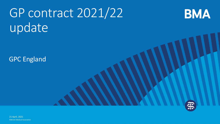# GP contract 2021/22 update

GPC England



**BMA** 

©British Medical Association 21 April, 2021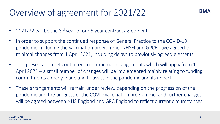### Overview of agreement for 2021/22

- 2021/22 will be the  $3^{rd}$  year of our 5 year contract agreement
- In order to support the continued response of General Practice to the COVID-19 pandemic, including the vaccination programme, NHSEI and GPCE have agreed to minimal changes from 1 April 2021, including delays to previously agreed elements
- This presentation sets out interim contractual arrangements which will apply from 1 April 2021 – a small number of changes will be implemented mainly relating to funding commitments already made and to assist in the pandemic and its impact
- These arrangements will remain under review, depending on the progression of the pandemic and the progress of the COVID vaccination programme, and further changes will be agreed between NHS England and GPC England to reflect current circumstances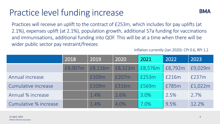# Practice level funding increase



Practices will receive an uplift to the contract of £253m, which includes for pay uplifts (at 2.1%), expenses uplift (at 2.1%), population growth, additional S7a funding for vaccinations and immunisations, additional funding into QOF. This will be at a time when there will be wider public sector pay restraint/freezes

Inflation currently (Jan 2020): CPI 0.6, RPI 1.2

|                       | 2018    | 2019    | 2020    | 2021    | 2022    | 2023    |
|-----------------------|---------|---------|---------|---------|---------|---------|
|                       | £8,007m | £8,116m | £8,323m | £8,576m | £8,792m | £9,029m |
| Annual increase       |         | £109m   | £207m   | £253m   | £216m   | £237m   |
| Cumulative increase   |         | £109m   | £316m   | £569m   | £785m   | £1,022m |
| Annual % increase     |         | 1.4%    | 2.6%    | 3.0%    | 2.5%    | 2.7%    |
| Cumulative % increase |         | 1.4%    | 4.0%    | $7.0\%$ | 9.5%    | 12.2%   |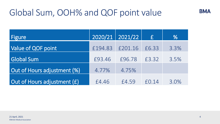### Global Sum, OOH% and QOF point value

| <b>Figure</b>               |         | $2020/21$   2021/22 | E       | %    |
|-----------------------------|---------|---------------------|---------|------|
| Value of QOF point          | £194.83 | £201.16             | £6.33   | 3.3% |
| <b>Global Sum</b>           | £93.46  | £96.78              | £3.32   | 3.5% |
| Out of Hours adjustment (%) | 4.77%   | 4.75%               |         |      |
| Out of Hours adjustment (£) | £4.46   | £4.59               | f(0.14) | 3.0% |

**BMA**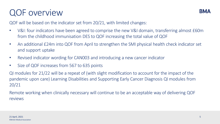#### QOF overview

QOF will be based on the indicator set from 20/21, with limited changes:

- V&I: four indicators have been agreed to comprise the new V&I domain, transferring almost £60m from the childhood immunisation DES to QOF increasing the total value of QOF
- An additional £24m into QOF from April to strengthen the SMI physical health check indicator set and support uptake
- Revised indicator wording for CAN003 and introducing a new cancer indicator
- Size of QOF increases from 567 to 635 points

QI modules for 21/22 will be a repeat of (with slight modification to account for the impact of the pandemic upon care) Learning Disabilities and Supporting Early Cancer Diagnosis QI modules from 20/21

Remote working when clinically necessary will continue to be an acceptable way of delivering QOF reviews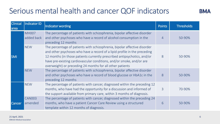#### Serious mental health and cancer QOF indicators

| Clinical<br>area | Indicator ID               | Indicator wording                                                                                                                                                                                                                                                                                                                                                        | <b>Points</b>  | <b>Thresholds</b> |
|------------------|----------------------------|--------------------------------------------------------------------------------------------------------------------------------------------------------------------------------------------------------------------------------------------------------------------------------------------------------------------------------------------------------------------------|----------------|-------------------|
| <b>SMI</b>       | <b>MH007</b><br>added back | The percentage of patients with schizophrenia, bipolar affective disorder<br>and other psychoses who have a record of alcohol consumption in the<br>preceding 12 months                                                                                                                                                                                                  | $\overline{4}$ | 50-90%            |
|                  | <b>NEW</b>                 | The percentage of patients with schizophrenia, bipolar affective disorder<br>and other psychoses who have a record of a lipid profile in the preceding<br>12 months (in those patients currently prescribed antipsychotics, and/or<br>have pre-existing cardiovascular conditions, and/or smoke, and/or are<br>overweight) or preceding 24 months for all other patients | 8              | 50-90%            |
|                  | <b>NEW</b>                 | The percentage of patients with schizophrenia, bipolar affective disorder<br>and other psychoses who have a record of blood glucose or HbA1c in the<br>preceding 12 months                                                                                                                                                                                               | 8              | 50-90%            |
|                  | <b>NEW</b>                 | The percentage of patients with cancer, diagnosed within the preceding 12<br>months, who have had the opportunity for a discussion and informed of<br>the support available from primary care, within 3 months of diagnosis.                                                                                                                                             | 3              | 70-90%            |
| Cancer           | <b>CAN003</b><br>amended   | The percentage of patients with cancer, diagnosed within the preceding 24<br>months, who have a patient Cancer Care Review using a structured<br>template within 12 months of diagnosis.                                                                                                                                                                                 | 6              | 50-90%            |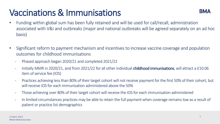# Vaccinations & Immunisations



- Funding within global sum has been fully retained and will be used for call/recall, administration associated with V&I and outbreaks (major and national outbreaks will be agreed separately on an ad hoc basis)
- Significant reform to payment mechanism and incentives to increase vaccine coverage and population outcomes for childhood immunisations
	- Phased approach began 2020/21 and completed 2021/22
	- Initially MMR in 2020/21, and from 2021/22 for all other individual **childhood immunisations**, will attract a £10.06 item of service fee (IOS)
	- Practices achieving less than 80% of their target cohort will not receive payment for the first 50% of their cohort, but will receive IOS for each immunisation administered above the 50%
	- Those achieving over 80% of their target cohort will receive the IOS for each immunisation administered
	- In limited circumstances practices may be able to retain the full payment when coverage remains low as a result of patient or practice list demographics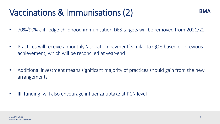# Vaccinations & Immunisations (2)

- 70%/90% cliff-edge childhood immunisation DES targets will be removed from 2021/22
- Practices will receive a monthly 'aspiration payment' similar to QOF, based on previous achievement, which will be reconciled at year-end
- Additional investment means significant majority of practices should gain from the new arrangements
- IIF funding will also encourage influenza uptake at PCN level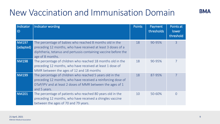### New Vaccination and Immunisation Domain

| Indicator<br> D           | Indicator wording                                                                                                                                                                                               | <b>Points</b> | Payment<br>thresholds | Points at<br>lower<br>threshold |
|---------------------------|-----------------------------------------------------------------------------------------------------------------------------------------------------------------------------------------------------------------|---------------|-----------------------|---------------------------------|
| <b>NM197</b><br>(adapted) | The percentage of babies who reached 8 months old in the<br>preceding 12 months, who have received at least 3 doses of a<br>diphtheria, tetanus and pertussis containing vaccine before the<br>age of 8 months. | 18            | 90-95%                | $\mathcal{R}$                   |
| <b>NM198</b>              | The percentage of children who reached 18 months old in the<br>preceding 12 months, who have received at least 1 dose of<br>MMR between the ages of 12 and 18 months                                            | 18            | 90-95%                |                                 |
| <b>NM199</b>              | The percentage of children who reached 5 years old in the<br>preceding 12 months, who have received a reinforcing dose of<br>DTaP/IPV and at least 2 doses of MMR between the ages of 1<br>and 5 years.         | 18            | 87-95%                | 7                               |
| <b>NM201</b>              | The percentage of patients who reached 80 years old in the<br>preceding 12 months, who have received a shingles vaccine<br>between the ages of 70 and 79 years.                                                 | 10            | 50-60%                | $\Omega$                        |

**BMA**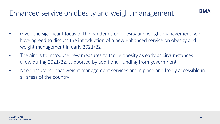#### Enhanced service on obesity and weight management

- Given the significant focus of the pandemic on obesity and weight management, we have agreed to discuss the introduction of a new enhanced service on obesity and weight management in early 2021/22
- The aim is to introduce new measures to tackle obesity as early as circumstances allow during 2021/22, supported by additional funding from government
- Need assurance that weight management services are in place and freely accessible in all areas of the country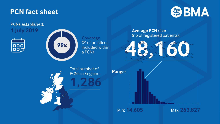#### **PCN fact sheet**



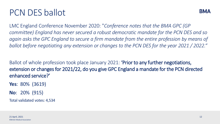#### PCN DES ballot

LMC England Conference November 2020: "*Conference notes that the BMA GPC (GP committee) England has never secured a robust democratic mandate for the PCN DES and so again asks the GPC England to secure a firm mandate from the entire profession by means of ballot before negotiating any extension or changes to the PCN DES for the year 2021 / 2022."*

Ballot of whole profession took place January 2021: **Prior to any further negotiations,** extension or changes for 2021/22, do you give GPC England a mandate for the PCN directed enhanced service?'

**Yes**: 80% (3619)

**No**: 20% (915)

Total validated votes: 4,534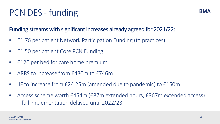## PCN DES - funding

#### Funding streams with significant increases already agreed for 2021/22:

- £1.76 per patient Network Participation Funding (to practices)
- £1.50 per patient Core PCN Funding
- £120 per bed for care home premium
- ARRS to increase from £430m to £746m
- IIF to increase from £24.25m (amended due to pandemic) to £150m
- Access scheme worth £454m (£87m extended hours, £367m extended access) – full implementation delayed until 2022/23

**BMA**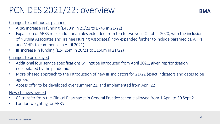#### PCN DES 2021/22: overview



#### Changes to continue as planned

- ARRS increase in funding (£430m in 20/21 to £746 in 21/22)
- Expansion of ARRS roles (additional roles extended from ten to twelve in October 2020, with the inclusion of Nursing Associates and Trainee Nursing Associates) now expanded further to include paramedics, AHPs and MHPs to commence in April 2021)
- IIF increase in funding (£24.25m in 20/21 to £150m in 21/22)

#### Changes to be delayed

- Additional four service specifications will not be introduced from April 2021, given reprioritisation necessitated by the pandemic
- More phased approach to the introduction of new IIF indicators for 21/22 (exact indicators and dates to be agreed)
- Access offer to be developed over summer 21, and implemented from April 22

#### New changes agreed

- CP transfer from the Clinical Pharmacist in General Practice scheme allowed from 1 April to 30 Sept 21
- London weighting for ARRS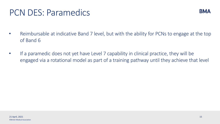#### PCN DES: Paramedics

- Reimbursable at indicative Band 7 level, but with the ability for PCNs to engage at the top of Band 6
- If a paramedic does not yet have Level 7 capability in clinical practice, they will be engaged via a rotational model as part of a training pathway until they achieve that level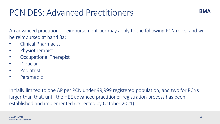#### PCN DES: Advanced Practitioners

An advanced practitioner reimbursement tier may apply to the following PCN roles, and will be reimbursed at band 8a:

- Clinical Pharmacist
- Physiotherapist
- Occupational Therapist
- Dietician
- Podiatrist
- Paramedic

Initially limited to one AP per PCN under 99,999 registered population, and two for PCNs larger than that, until the HEE advanced practitioner registration process has been established and implemented (expected by October 2021)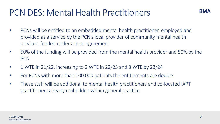#### PCN DES: Mental Health Practitioners

- PCNs will be entitled to an embedded mental health practitioner, employed and provided as a service by the PCN's local provider of community mental health services, funded under a local agreement
- 50% of the funding will be provided from the mental health provider and 50% by the **PCN**
- 1 WTE in 21/22, increasing to 2 WTE in 22/23 and 3 WTE by 23/24
- For PCNs with more than 100,000 patients the entitlements are double
- These staff will be additional to mental health practitioners and co-located IAPT practitioners already embedded within general practice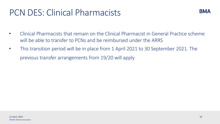#### PCN DES: Clinical Pharmacists



- Clinical Pharmacists that remain on the Clinical Pharmacist in General Practice scheme will be able to transfer to PCNs and be reimbursed under the ARRS
- This transition period will be in place from 1 April 2021 to 30 September 2021. The previous transfer arrangements from 19/20 will apply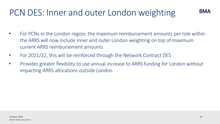### PCN DES: Inner and outer London weighting

- For PCNs in the London region, the maximum reimbursement amounts per role within the ARRS will now include inner and outer London weighting on top of maximum current ARRS reimbursement amounts
- For 2021/22, this will be reinforced through the Network Contract DES
- Provides greater flexibility to use annual increase to ARRS funding for London without impacting ARRS allocations outside London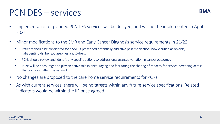#### PCN DES – services

- Implementation of planned PCN DES services will be delayed, and will not be implemented in April 2021
- Minor modifications to the SMR and Early Cancer Diagnosis service requirements in 21/22:
	- Patients should be considered for a SMR if prescribed potentially addictive pain medication, now clarified as opioids, gabapentinoids, benzodiazepines and Z-drugs
	- PCNs should review and identify any specific actions to address unwarranted variation in cancer outcomes
	- PCNs will be encouraged to play an active role in encouraging and facilitating the sharing of capacity for cervical screening across the practices within the network
- No changes are proposed to the care home service requirements for PCNs
- As with current services, there will be no targets within any future service specifications. Related indicators would be within the IIF once agreed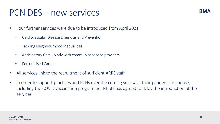#### PCN DES – new services

- Four further services were due to be introduced from April 2021
	- Cardiovascular Disease Diagnosis and Prevention
	- Tackling Neighbourhood Inequalities
	- Anticipatory Care, jointly with community service providers
	- Personalised Care
- All services link to the recruitment of sufficient ARRS staff
- In order to support practices and PCNs over the coming year with their pandemic response, including the COVID vaccination programme, NHSEI has agreed to delay the introduction of the services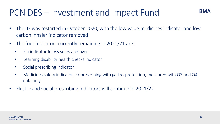#### PCN DES – Investment and Impact Fund

- The IIF was restarted in October 2020, with the low value medicines indicator and low carbon inhaler indicator removed
- The four indicators currently remaining in 2020/21 are:
	- Flu indicator for 65 years and over
	- Learning disability health checks indicator
	- Social prescribing indicator
	- Medicines safety indicator, co-prescribing with gastro-protection, measured with Q3 and Q4 data only
- Flu, LD and social prescribing indicators will continue in 2021/22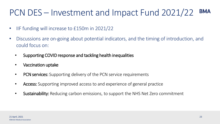#### PCN DES – Investment and Impact Fund 2021/22 **BMA**

- IIF funding will increase to £150m in 2021/22
- Discussions are on-going about potential indicators, and the timing of introduction, and could focus on:
	- Supporting COVID response and tackling health inequalities
	- Vaccination uptake
	- PCN services: Supporting delivery of the PCN service requirements
	- Access: Supporting improved access to and experience of general practice
	- Sustainability: Reducing carbon emissions, to support the NHS Net Zero commitment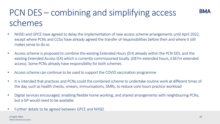# PCN DES – combining and simplifying access schemes

- NHSEI and GPCE have agreed to delay the implementation of new access scheme arrangements until April 2022, except where PCNs and CCGs have already agreed the transfer of responsibilities before then and where it still makes sense to do so
- Access scheme is proposed to combine the existing Extended Hours (EH) already within the PCN DES, and the existing Extended Access (EA) which is currently commissioned locally. (£87m extended hours, £367m extended access). Some PCNs already have responsibility for both schemes
- Access scheme can continue to be used to support the COVID vaccination programme
- It is intended that practices and PCNs could the combined scheme to undertake routine work at different times of the day, such as health checks, smears, immunisations, SMRs, to reduce core hours practice workload
- Digital services encouraged, enabling flexible home working, and shared arrangements with neighbouring PCNs, but a GP would need to be available
- Further details to be agreed between GPCE and NHSEI

**BMA**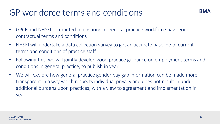### GP workforce terms and conditions

- GPCE and NHSEI committed to ensuring all general practice workforce have good contractual terms and conditions
- NHSEI will undertake a data collection survey to get an accurate baseline of current terms and conditions of practice staff
- Following this, we will jointly develop good practice guidance on employment terms and conditions in general practice, to publish in year
- We will explore how general practice gender pay gap information can be made more transparent in a way which respects individual privacy and does not result in undue additional burdens upon practices, with a view to agreement and implementation in year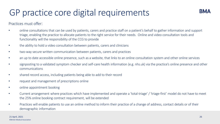### GP practice core digital requirements

Practices must offer:

- online consultations that can be used by patients, carers and practice staff on a patient's behalf to gather information and support triage, enabling the practice to allocate patients to the right service for their needs. Online and video consultation tools and functionality will the responsibility of the CCG to provide
- the ability to hold a video consultation between patients, carers and clinicians
- two-way secure written communication between patients, carers and practices
- an up to date accessible online presence, such as a website, that links to an online consultation system and other online services
- signposting to a validated symptom checker and self-care health information (e.g. nhs.uk) via the practice's online presence and other communications
- shared record access, including patients being able to add to their record
- request and management of prescriptions online
- online appointment booking
- Current arrangement where practices which have implemented and operate a 'total-triage' / 'triage-first' model do not have to meet the 25% online booking contract requirement, will be extended
- Practices will enable patients to use an online method to inform their practice of a change of address, contact details or of their demographic information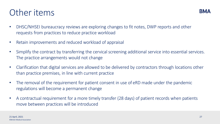#### Other items

- DHSC/NHSEI bureaucracy reviews are exploring changes to fit notes, DWP reports and other requests from practices to reduce practice workload
- Retain improvements and reduced workload of appraisal
- Simplify the contract by transferring the cervical screening additional service into essential services. The practice arrangements would not change
- Clarification that digital services are allowed to be delivered by contractors through locations other than practice premises, in line with current practice
- The removal of the requirement for patient consent in use of eRD made under the pandemic regulations will become a permanent change
- A contractual requirement for a more timely transfer (28 days) of patient records when patients move between practices will be introduced

**BM4**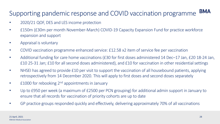#### **BMA** Supporting pandemic response and COVID vaccination programme

- 2020/21 QOF, DES and LES income protection
- £150m (£30m per month November-March) COVID-19 Capacity Expansion Fund for practice workforce expansion and support
- Appraisal is voluntary
- COVID vaccination programme enhanced service: £12.58 x2 item of service fee per vaccination
- Additional funding for care home vaccinations (£30 for first doses administered 14 Dec–17 Jan, £20 18-24 Jan, £10 25-31 Jan; £10 for all second doses administered), and £10 for vaccination in other residential settings
- NHSEI has agreed to provide £10 per visit to support the vaccination of all housebound patients, applying retrospectively from 14 December 2020. This will apply to first doses and second doses separately
- E1000 for rebooking 2<sup>nd</sup> appointments in January
- Up to £950 per week (a maximum of £2500 per PCN grouping) for additional admin support in January to ensure that all records for vaccination of priority cohorts are up to date
- GP practice groups responded quickly and effectively, delivering approximately 70% of all vaccinations